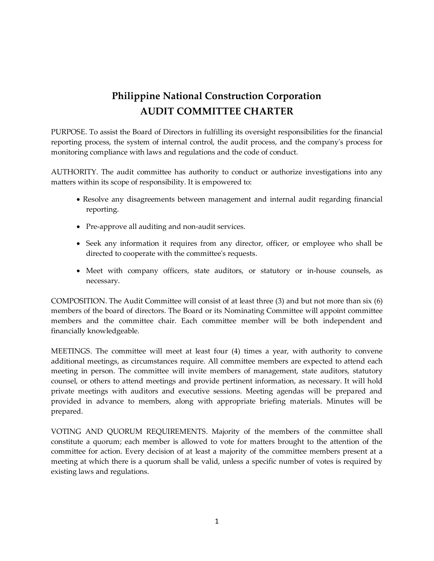# **Philippine National Construction Corporation AUDIT COMMITTEE CHARTER**

PURPOSE. To assist the Board of Directors in fulfilling its oversight responsibilities for the financial reporting process, the system of internal control, the audit process, and the company's process for monitoring compliance with laws and regulations and the code of conduct.

AUTHORITY. The audit committee has authority to conduct or authorize investigations into any matters within its scope of responsibility. It is empowered to:

- Resolve any disagreements between management and internal audit regarding financial reporting.
- Pre-approve all auditing and non-audit services.
- Seek any information it requires from any director, officer, or employee who shall be directed to cooperate with the committee's requests.
- Meet with company officers, state auditors, or statutory or in-house counsels, as necessary.

COMPOSITION. The Audit Committee will consist of at least three (3) and but not more than six (6) members of the board of directors. The Board or its Nominating Committee will appoint committee members and the committee chair. Each committee member will be both independent and financially knowledgeable.

MEETINGS. The committee will meet at least four (4) times a year, with authority to convene additional meetings, as circumstances require. All committee members are expected to attend each meeting in person. The committee will invite members of management, state auditors, statutory counsel, or others to attend meetings and provide pertinent information, as necessary. It will hold private meetings with auditors and executive sessions. Meeting agendas will be prepared and provided in advance to members, along with appropriate briefing materials. Minutes will be prepared.

VOTING AND QUORUM REQUIREMENTS. Majority of the members of the committee shall constitute a quorum; each member is allowed to vote for matters brought to the attention of the committee for action. Every decision of at least a majority of the committee members present at a meeting at which there is a quorum shall be valid, unless a specific number of votes is required by existing laws and regulations.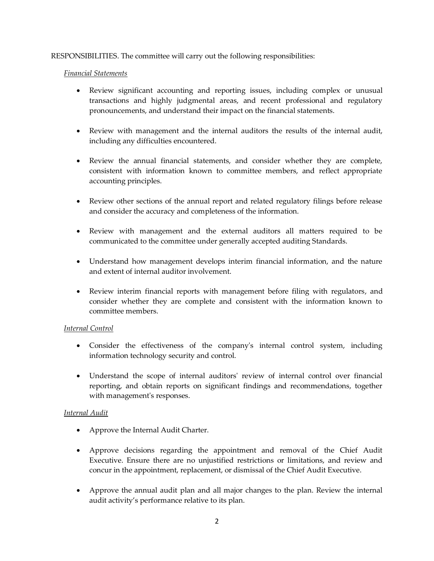## RESPONSIBILITIES. The committee will carry out the following responsibilities:

#### *Financial Statements*

- Review significant accounting and reporting issues, including complex or unusual transactions and highly judgmental areas, and recent professional and regulatory pronouncements, and understand their impact on the financial statements.
- Review with management and the internal auditors the results of the internal audit, including any difficulties encountered.
- Review the annual financial statements, and consider whether they are complete, consistent with information known to committee members, and reflect appropriate accounting principles.
- Review other sections of the annual report and related regulatory filings before release and consider the accuracy and completeness of the information.
- Review with management and the external auditors all matters required to be communicated to the committee under generally accepted auditing Standards.
- Understand how management develops interim financial information, and the nature and extent of internal auditor involvement.
- Review interim financial reports with management before filing with regulators, and consider whether they are complete and consistent with the information known to committee members.

# *Internal Control*

- Consider the effectiveness of the company's internal control system, including information technology security and control.
- Understand the scope of internal auditors' review of internal control over financial reporting, and obtain reports on significant findings and recommendations, together with management's responses.

# *Internal Audit*

- Approve the Internal Audit Charter.
- Approve decisions regarding the appointment and removal of the Chief Audit Executive. Ensure there are no unjustified restrictions or limitations, and review and concur in the appointment, replacement, or dismissal of the Chief Audit Executive.
- Approve the annual audit plan and all major changes to the plan. Review the internal audit activity's performance relative to its plan.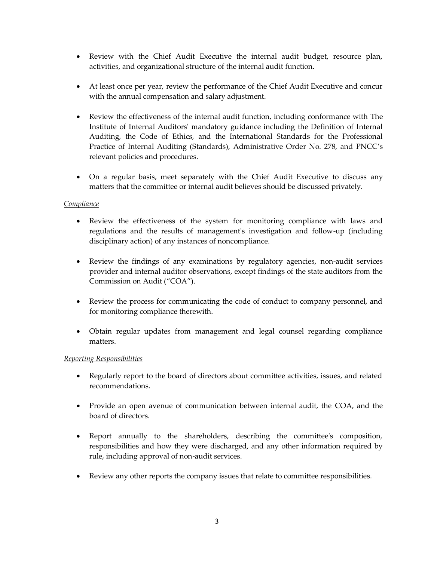- Review with the Chief Audit Executive the internal audit budget, resource plan, activities, and organizational structure of the internal audit function.
- At least once per year, review the performance of the Chief Audit Executive and concur with the annual compensation and salary adjustment.
- Review the effectiveness of the internal audit function, including conformance with The Institute of Internal Auditors' mandatory guidance including the Definition of Internal Auditing, the Code of Ethics, and the International Standards for the Professional Practice of Internal Auditing (Standards), Administrative Order No. 278, and PNCC's relevant policies and procedures.
- On a regular basis, meet separately with the Chief Audit Executive to discuss any matters that the committee or internal audit believes should be discussed privately.

## *Compliance*

- Review the effectiveness of the system for monitoring compliance with laws and regulations and the results of management's investigation and follow-up (including disciplinary action) of any instances of noncompliance.
- Review the findings of any examinations by regulatory agencies, non-audit services provider and internal auditor observations, except findings of the state auditors from the Commission on Audit ("COA").
- Review the process for communicating the code of conduct to company personnel, and for monitoring compliance therewith.
- Obtain regular updates from management and legal counsel regarding compliance matters.

#### *Reporting Responsibilities*

- Regularly report to the board of directors about committee activities, issues, and related recommendations.
- Provide an open avenue of communication between internal audit, the COA, and the board of directors.
- Report annually to the shareholders, describing the committee's composition, responsibilities and how they were discharged, and any other information required by rule, including approval of non-audit services.
- Review any other reports the company issues that relate to committee responsibilities.